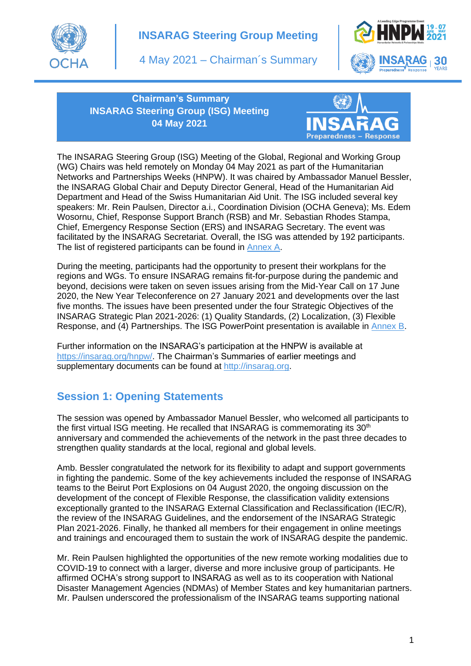

# **INSARAG Steering Group Meeting**

4 May 2021 – Chairman´s Summary



**Chairman's Summary INSARAG Steering Group (ISG) Meeting 04 May 2021**



The INSARAG Steering Group (ISG) Meeting of the Global, Regional and Working Group (WG) Chairs was held remotely on Monday 04 May 2021 as part of the Humanitarian Networks and Partnerships Weeks (HNPW). It was chaired by Ambassador Manuel Bessler, the INSARAG Global Chair and Deputy Director General, Head of the Humanitarian Aid Department and Head of the Swiss Humanitarian Aid Unit. The ISG included several key speakers: Mr. Rein Paulsen, Director a.i., Coordination Division (OCHA Geneva); Ms. Edem Wosornu, Chief, Response Support Branch (RSB) and Mr. Sebastian Rhodes Stampa, Chief, Emergency Response Section (ERS) and INSARAG Secretary. The event was facilitated by the INSARAG Secretariat. Overall, the ISG was attended by 192 participants. The list of registered participants can be found in [Annex A.](http://portal.undac.org/pssuportal/portalrest/filesharing/download/public/Zk9KeQEm4wCYhLq)

During the meeting, participants had the opportunity to present their workplans for the regions and WGs. To ensure INSARAG remains fit-for-purpose during the pandemic and beyond, decisions were taken on seven issues arising from the Mid-Year Call on 17 June 2020, the New Year Teleconference on 27 January 2021 and developments over the last five months. The issues have been presented under the four Strategic Objectives of the INSARAG Strategic Plan 2021-2026: (1) Quality Standards, (2) Localization, (3) Flexible Response, and (4) Partnerships. The ISG PowerPoint presentation is available in [Annex B.](http://portal.undac.org/pssuportal/portalrest/filesharing/download/public/8XUmG3kX6oCTTTT)

Further information on the INSARAG's participation at the HNPW is available at [https://insarag.org/hnpw/.](https://insarag.org/hnpw/) The Chairman's Summaries of earlier meetings and supplementary documents can be found at [http://insarag.org.](http://insarag.org/)

# **Session 1: Opening Statements**

The session was opened by Ambassador Manuel Bessler, who welcomed all participants to the first virtual ISG meeting. He recalled that INSARAG is commemorating its 30<sup>th</sup> anniversary and commended the achievements of the network in the past three decades to strengthen quality standards at the local, regional and global levels.

Amb. Bessler congratulated the network for its flexibility to adapt and support governments in fighting the pandemic. Some of the key achievements included the response of INSARAG teams to the Beirut Port Explosions on 04 August 2020, the ongoing discussion on the development of the concept of Flexible Response, the classification validity extensions exceptionally granted to the INSARAG External Classification and Reclassification (IEC/R), the review of the INSARAG Guidelines, and the endorsement of the INSARAG Strategic Plan 2021-2026. Finally, he thanked all members for their engagement in online meetings and trainings and encouraged them to sustain the work of INSARAG despite the pandemic.

Mr. Rein Paulsen highlighted the opportunities of the new remote working modalities due to COVID-19 to connect with a larger, diverse and more inclusive group of participants. He affirmed OCHA's strong support to INSARAG as well as to its cooperation with National Disaster Management Agencies (NDMAs) of Member States and key humanitarian partners. Mr. Paulsen underscored the professionalism of the INSARAG teams supporting national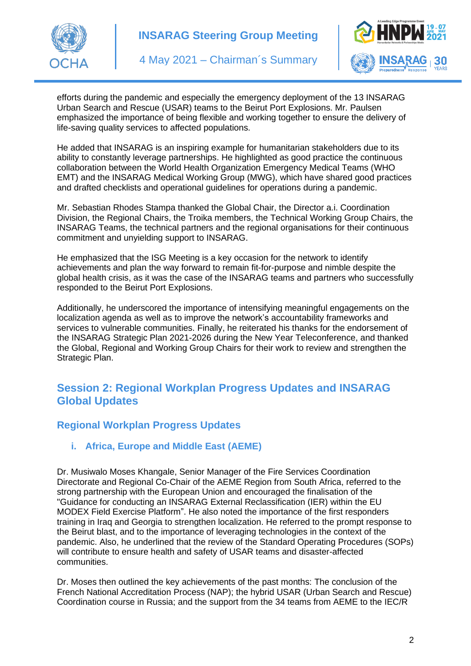



efforts during the pandemic and especially the emergency deployment of the 13 INSARAG Urban Search and Rescue (USAR) teams to the Beirut Port Explosions. Mr. Paulsen emphasized the importance of being flexible and working together to ensure the delivery of life-saving quality services to affected populations.

He added that INSARAG is an inspiring example for humanitarian stakeholders due to its ability to constantly leverage partnerships. He highlighted as good practice the continuous collaboration between the World Health Organization Emergency Medical Teams (WHO EMT) and the INSARAG Medical Working Group (MWG), which have shared good practices and drafted checklists and operational guidelines for operations during a pandemic.

Mr. Sebastian Rhodes Stampa thanked the Global Chair, the Director a.i. Coordination Division, the Regional Chairs, the Troika members, the Technical Working Group Chairs, the INSARAG Teams, the technical partners and the regional organisations for their continuous commitment and unyielding support to INSARAG.

He emphasized that the ISG Meeting is a key occasion for the network to identify achievements and plan the way forward to remain fit-for-purpose and nimble despite the global health crisis, as it was the case of the INSARAG teams and partners who successfully responded to the Beirut Port Explosions.

Additionally, he underscored the importance of intensifying meaningful engagements on the localization agenda as well as to improve the network's accountability frameworks and services to vulnerable communities. Finally, he reiterated his thanks for the endorsement of the INSARAG Strategic Plan 2021-2026 during the New Year Teleconference, and thanked the Global, Regional and Working Group Chairs for their work to review and strengthen the Strategic Plan.

## **Session 2: Regional Workplan Progress Updates and INSARAG Global Updates**

### **Regional Workplan Progress Updates**

#### **i. Africa, Europe and Middle East (AEME)**

Dr. Musiwalo Moses Khangale, Senior Manager of the Fire Services Coordination Directorate and Regional Co-Chair of the AEME Region from South Africa, referred to the strong partnership with the European Union and encouraged the finalisation of the "Guidance for conducting an INSARAG External Reclassification (IER) within the EU MODEX Field Exercise Platform". He also noted the importance of the first responders training in Iraq and Georgia to strengthen localization. He referred to the prompt response to the Beirut blast, and to the importance of leveraging technologies in the context of the pandemic. Also, he underlined that the review of the Standard Operating Procedures (SOPs) will contribute to ensure health and safety of USAR teams and disaster-affected communities.

Dr. Moses then outlined the key achievements of the past months: The conclusion of the French National Accreditation Process (NAP); the hybrid USAR (Urban Search and Rescue) Coordination course in Russia; and the support from the 34 teams from AEME to the IEC/R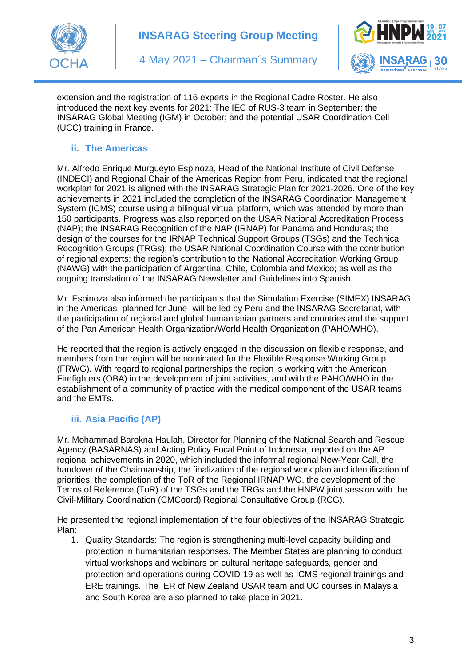



extension and the registration of 116 experts in the Regional Cadre Roster. He also introduced the next key events for 2021: The IEC of RUS-3 team in September; the INSARAG Global Meeting (IGM) in October; and the potential USAR Coordination Cell (UCC) training in France.

### **ii. The Americas**

Mr. Alfredo Enrique Murgueyto Espinoza, Head of the National Institute of Civil Defense (INDECI) and Regional Chair of the Americas Region from Peru, indicated that the regional workplan for 2021 is aligned with the INSARAG Strategic Plan for 2021-2026. One of the key achievements in 2021 included the completion of the INSARAG Coordination Management System (ICMS) course using a bilingual virtual platform, which was attended by more than 150 participants. Progress was also reported on the USAR National Accreditation Process (NAP); the INSARAG Recognition of the NAP (IRNAP) for Panama and Honduras; the design of the courses for the IRNAP Technical Support Groups (TSGs) and the Technical Recognition Groups (TRGs); the USAR National Coordination Course with the contribution of regional experts; the region's contribution to the National Accreditation Working Group (NAWG) with the participation of Argentina, Chile, Colombia and Mexico; as well as the ongoing translation of the INSARAG Newsletter and Guidelines into Spanish.

Mr. Espinoza also informed the participants that the Simulation Exercise (SIMEX) INSARAG in the Americas -planned for June- will be led by Peru and the INSARAG Secretariat, with the participation of regional and global humanitarian partners and countries and the support of the Pan American Health Organization/World Health Organization (PAHO/WHO).

He reported that the region is actively engaged in the discussion on flexible response, and members from the region will be nominated for the Flexible Response Working Group (FRWG). With regard to regional partnerships the region is working with the American Firefighters (OBA) in the development of joint activities, and with the PAHO/WHO in the establishment of a community of practice with the medical component of the USAR teams and the EMTs.

### **iii. Asia Pacific (AP)**

Mr. Mohammad Barokna Haulah, Director for Planning of the National Search and Rescue Agency (BASARNAS) and Acting Policy Focal Point of Indonesia, reported on the AP regional achievements in 2020, which included the informal regional New-Year Call, the handover of the Chairmanship, the finalization of the regional work plan and identification of priorities, the completion of the ToR of the Regional IRNAP WG, the development of the Terms of Reference (ToR) of the TSGs and the TRGs and the HNPW joint session with the Civil-Military Coordination (CMCoord) Regional Consultative Group (RCG).

He presented the regional implementation of the four objectives of the INSARAG Strategic Plan:

1. Quality Standards: The region is strengthening multi-level capacity building and protection in humanitarian responses. The Member States are planning to conduct virtual workshops and webinars on cultural heritage safeguards, gender and protection and operations during COVID-19 as well as ICMS regional trainings and ERE trainings. The IER of New Zealand USAR team and UC courses in Malaysia and South Korea are also planned to take place in 2021.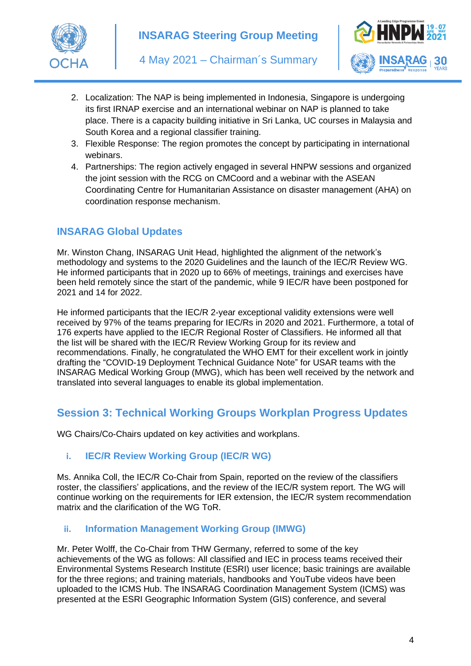



- 2. Localization: The NAP is being implemented in Indonesia, Singapore is undergoing its first IRNAP exercise and an international webinar on NAP is planned to take place. There is a capacity building initiative in Sri Lanka, UC courses in Malaysia and South Korea and a regional classifier training.
- 3. Flexible Response: The region promotes the concept by participating in international webinars.
- 4. Partnerships: The region actively engaged in several HNPW sessions and organized the joint session with the RCG on CMCoord and a webinar with the ASEAN Coordinating Centre for Humanitarian Assistance on disaster management (AHA) on coordination response mechanism.

## **INSARAG Global Updates**

Mr. Winston Chang, INSARAG Unit Head, highlighted the alignment of the network's methodology and systems to the 2020 Guidelines and the launch of the IEC/R Review WG. He informed participants that in 2020 up to 66% of meetings, trainings and exercises have been held remotely since the start of the pandemic, while 9 IEC/R have been postponed for 2021 and 14 for 2022.

He informed participants that the IEC/R 2-year exceptional validity extensions were well received by 97% of the teams preparing for IEC/Rs in 2020 and 2021. Furthermore, a total of 176 experts have applied to the IEC/R Regional Roster of Classifiers. He informed all that the list will be shared with the IEC/R Review Working Group for its review and recommendations. Finally, he congratulated the WHO EMT for their excellent work in jointly drafting the "COVID-19 Deployment Technical Guidance Note" for USAR teams with the INSARAG Medical Working Group (MWG), which has been well received by the network and translated into several languages to enable its global implementation.

# **Session 3: Technical Working Groups Workplan Progress Updates**

WG Chairs/Co-Chairs updated on key activities and workplans.

### **i. IEC/R Review Working Group (IEC/R WG)**

Ms. Annika Coll, the IEC/R Co-Chair from Spain, reported on the review of the classifiers roster, the classifiers' applications, and the review of the IEC/R system report. The WG will continue working on the requirements for IER extension, the IEC/R system recommendation matrix and the clarification of the WG ToR.

#### **ii. Information Management Working Group (IMWG)**

Mr. Peter Wolff, the Co-Chair from THW Germany, referred to some of the key achievements of the WG as follows: All classified and IEC in process teams received their Environmental Systems Research Institute (ESRI) user licence; basic trainings are available for the three regions; and training materials, handbooks and YouTube videos have been uploaded to the ICMS Hub. The INSARAG Coordination Management System (ICMS) was presented at the ESRI Geographic Information System (GIS) conference, and several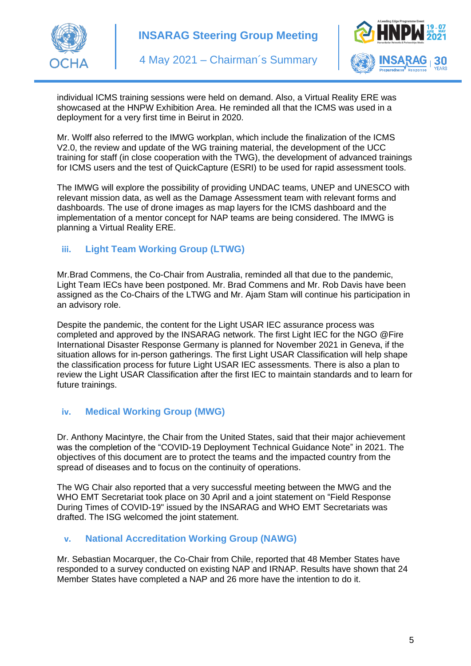



individual ICMS training sessions were held on demand. Also, a Virtual Reality ERE was showcased at the HNPW Exhibition Area. He reminded all that the ICMS was used in a deployment for a very first time in Beirut in 2020.

Mr. Wolff also referred to the IMWG workplan, which include the finalization of the ICMS V2.0, the review and update of the WG training material, the development of the UCC training for staff (in close cooperation with the TWG), the development of advanced trainings for ICMS users and the test of QuickCapture (ESRI) to be used for rapid assessment tools.

The IMWG will explore the possibility of providing UNDAC teams, UNEP and UNESCO with relevant mission data, as well as the Damage Assessment team with relevant forms and dashboards. The use of drone images as map layers for the ICMS dashboard and the implementation of a mentor concept for NAP teams are being considered. The IMWG is planning a Virtual Reality ERE.

#### **iii. Light Team Working Group (LTWG)**

Mr.Brad Commens, the Co-Chair from Australia, reminded all that due to the pandemic, Light Team IECs have been postponed. Mr. Brad Commens and Mr. Rob Davis have been assigned as the Co-Chairs of the LTWG and Mr. Ajam Stam will continue his participation in an advisory role.

Despite the pandemic, the content for the Light USAR IEC assurance process was completed and approved by the INSARAG network. The first Light IEC for the NGO @Fire International Disaster Response Germany is planned for November 2021 in Geneva, if the situation allows for in-person gatherings. The first Light USAR Classification will help shape the classification process for future Light USAR IEC assessments. There is also a plan to review the Light USAR Classification after the first IEC to maintain standards and to learn for future trainings.

#### **iv. Medical Working Group (MWG)**

Dr. Anthony Macintyre, the Chair from the United States, said that their major achievement was the completion of the "COVID-19 Deployment Technical Guidance Note" in 2021. The objectives of this document are to protect the teams and the impacted country from the spread of diseases and to focus on the continuity of operations.

The WG Chair also reported that a very successful meeting between the MWG and the WHO EMT Secretariat took place on 30 April and a joint statement on "Field Response During Times of COVID-19" issued by the INSARAG and WHO EMT Secretariats was drafted. The ISG welcomed the joint statement.

#### **v. National Accreditation Working Group (NAWG)**

Mr. Sebastian Mocarquer, the Co-Chair from Chile, reported that 48 Member States have responded to a survey conducted on existing NAP and IRNAP. Results have shown that 24 Member States have completed a NAP and 26 more have the intention to do it.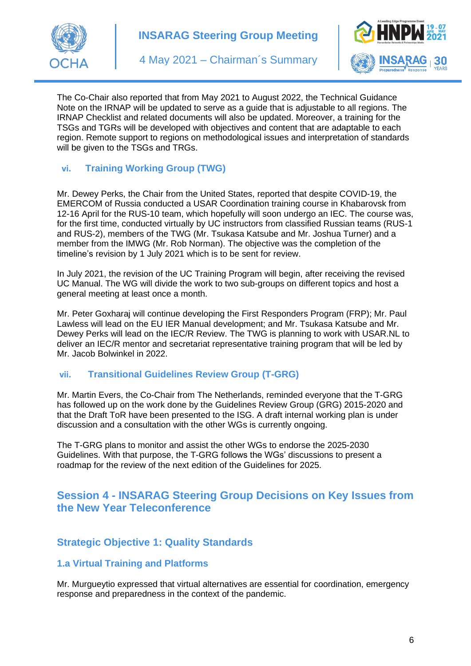



The Co-Chair also reported that from May 2021 to August 2022, the Technical Guidance Note on the IRNAP will be updated to serve as a guide that is adjustable to all regions. The IRNAP Checklist and related documents will also be updated. Moreover, a training for the TSGs and TGRs will be developed with objectives and content that are adaptable to each region. Remote support to regions on methodological issues and interpretation of standards will be given to the TSGs and TRGs.

### **vi. Training Working Group (TWG)**

Mr. Dewey Perks, the Chair from the United States, reported that despite COVID-19, the EMERCOM of Russia conducted a USAR Coordination training course in Khabarovsk from 12-16 April for the RUS-10 team, which hopefully will soon undergo an IEC. The course was, for the first time, conducted virtually by UC instructors from classified Russian teams (RUS-1 and RUS-2), members of the TWG (Mr. Tsukasa Katsube and Mr. Joshua Turner) and a member from the IMWG (Mr. Rob Norman). The objective was the completion of the timeline's revision by 1 July 2021 which is to be sent for review.

In July 2021, the revision of the UC Training Program will begin, after receiving the revised UC Manual. The WG will divide the work to two sub-groups on different topics and host a general meeting at least once a month.

Mr. Peter Goxharaj will continue developing the First Responders Program (FRP); Mr. Paul Lawless will lead on the EU IER Manual development; and Mr. Tsukasa Katsube and Mr. Dewey Perks will lead on the IEC/R Review. The TWG is planning to work with USAR.NL to deliver an IEC/R mentor and secretariat representative training program that will be led by Mr. Jacob Bolwinkel in 2022.

### **vii. Transitional Guidelines Review Group (T-GRG)**

Mr. Martin Evers, the Co-Chair from The Netherlands, reminded everyone that the T-GRG has followed up on the work done by the Guidelines Review Group (GRG) 2015-2020 and that the Draft ToR have been presented to the ISG. A draft internal working plan is under discussion and a consultation with the other WGs is currently ongoing.

The T-GRG plans to monitor and assist the other WGs to endorse the 2025-2030 Guidelines. With that purpose, the T-GRG follows the WGs' discussions to present a roadmap for the review of the next edition of the Guidelines for 2025.

## **Session 4 - INSARAG Steering Group Decisions on Key Issues from the New Year Teleconference**

## **Strategic Objective 1: Quality Standards**

### **1.a Virtual Training and Platforms**

Mr. Murgueytio expressed that virtual alternatives are essential for coordination, emergency response and preparedness in the context of the pandemic.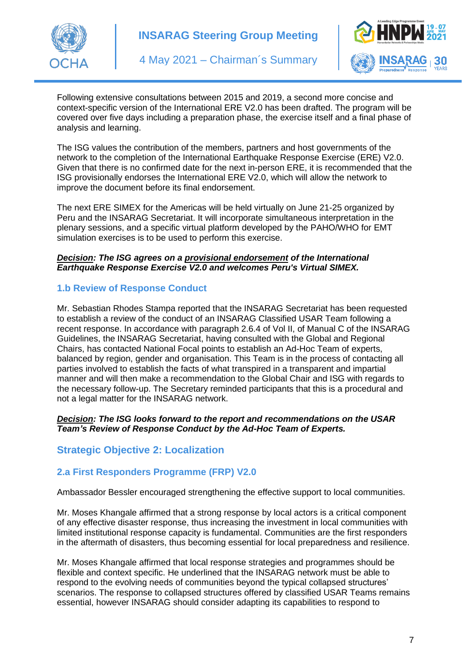



Following extensive consultations between 2015 and 2019, a second more concise and context-specific version of the International ERE V2.0 has been drafted. The program will be covered over five days including a preparation phase, the exercise itself and a final phase of analysis and learning.

The ISG values the contribution of the members, partners and host governments of the network to the completion of the International Earthquake Response Exercise (ERE) V2.0. Given that there is no confirmed date for the next in-person ERE, it is recommended that the ISG provisionally endorses the International ERE V2.0, which will allow the network to improve the document before its final endorsement.

The next ERE SIMEX for the Americas will be held virtually on June 21-25 organized by Peru and the INSARAG Secretariat. It will incorporate simultaneous interpretation in the plenary sessions, and a specific virtual platform developed by the PAHO/WHO for EMT simulation exercises is to be used to perform this exercise.

#### *Decision: The ISG agrees on a provisional endorsement of the International Earthquake Response Exercise V2.0 and welcomes Peru's Virtual SIMEX.*

### **1.b Review of Response Conduct**

Mr. Sebastian Rhodes Stampa reported that the INSARAG Secretariat has been requested to establish a review of the conduct of an INSARAG Classified USAR Team following a recent response. In accordance with paragraph 2.6.4 of Vol II, of Manual C of the INSARAG Guidelines, the INSARAG Secretariat, having consulted with the Global and Regional Chairs, has contacted National Focal points to establish an Ad-Hoc Team of experts, balanced by region, gender and organisation. This Team is in the process of contacting all parties involved to establish the facts of what transpired in a transparent and impartial manner and will then make a recommendation to the Global Chair and ISG with regards to the necessary follow-up. The Secretary reminded participants that this is a procedural and not a legal matter for the INSARAG network.

#### *Decision: The ISG looks forward to the report and recommendations on the USAR Team's Review of Response Conduct by the Ad-Hoc Team of Experts.*

### **Strategic Objective 2: Localization**

### **2.a First Responders Programme (FRP) V2.0**

Ambassador Bessler encouraged strengthening the effective support to local communities.

Mr. Moses Khangale affirmed that a strong response by local actors is a critical component of any effective disaster response, thus increasing the investment in local communities with limited institutional response capacity is fundamental. Communities are the first responders in the aftermath of disasters, thus becoming essential for local preparedness and resilience.

Mr. Moses Khangale affirmed that local response strategies and programmes should be flexible and context specific. He underlined that the INSARAG network must be able to respond to the evolving needs of communities beyond the typical collapsed structures' scenarios. The response to collapsed structures offered by classified USAR Teams remains essential, however INSARAG should consider adapting its capabilities to respond to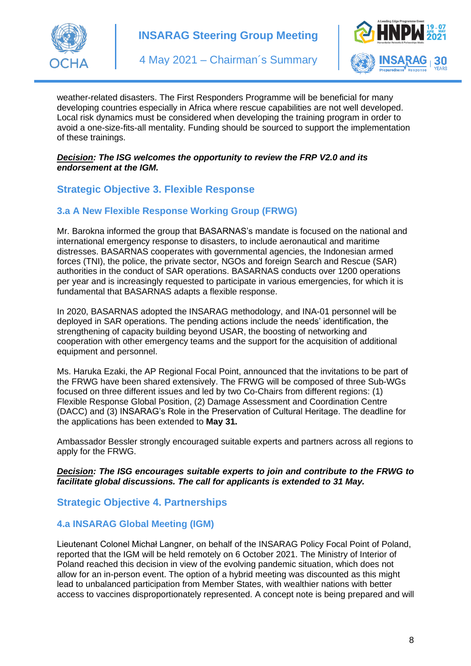



weather-related disasters. The First Responders Programme will be beneficial for many developing countries especially in Africa where rescue capabilities are not well developed. Local risk dynamics must be considered when developing the training program in order to avoid a one-size-fits-all mentality. Funding should be sourced to support the implementation of these trainings.

#### *Decision: The ISG welcomes the opportunity to review the FRP V2.0 and its endorsement at the IGM.*

## **Strategic Objective 3. Flexible Response**

### **3.a A New Flexible Response Working Group (FRWG)**

Mr. Barokna informed the group that BASARNAS's mandate is focused on the national and international emergency response to disasters, to include aeronautical and maritime distresses. BASARNAS cooperates with governmental agencies, the Indonesian armed forces (TNI), the police, the private sector, NGOs and foreign Search and Rescue (SAR) authorities in the conduct of SAR operations. BASARNAS conducts over 1200 operations per year and is increasingly requested to participate in various emergencies, for which it is fundamental that BASARNAS adapts a flexible response.

In 2020, BASARNAS adopted the INSARAG methodology, and INA-01 personnel will be deployed in SAR operations. The pending actions include the needs' identification, the strengthening of capacity building beyond USAR, the boosting of networking and cooperation with other emergency teams and the support for the acquisition of additional equipment and personnel.

Ms. Haruka Ezaki, the AP Regional Focal Point, announced that the invitations to be part of the FRWG have been shared extensively. The FRWG will be composed of three Sub-WGs focused on three different issues and led by two Co-Chairs from different regions: (1) Flexible Response Global Position, (2) Damage Assessment and Coordination Centre (DACC) and (3) INSARAG's Role in the Preservation of Cultural Heritage. The deadline for the applications has been extended to **May 31.**

Ambassador Bessler strongly encouraged suitable experts and partners across all regions to apply for the FRWG.

#### *Decision: The ISG encourages suitable experts to join and contribute to the FRWG to facilitate global discussions. The call for applicants is extended to 31 May.*

### **Strategic Objective 4. Partnerships**

### **4.a INSARAG Global Meeting (IGM)**

Lieutenant Colonel Michał Langner, on behalf of the INSARAG Policy Focal Point of Poland, reported that the IGM will be held remotely on 6 October 2021. The Ministry of Interior of Poland reached this decision in view of the evolving pandemic situation, which does not allow for an in-person event. The option of a hybrid meeting was discounted as this might lead to unbalanced participation from Member States, with wealthier nations with better access to vaccines disproportionately represented. A concept note is being prepared and will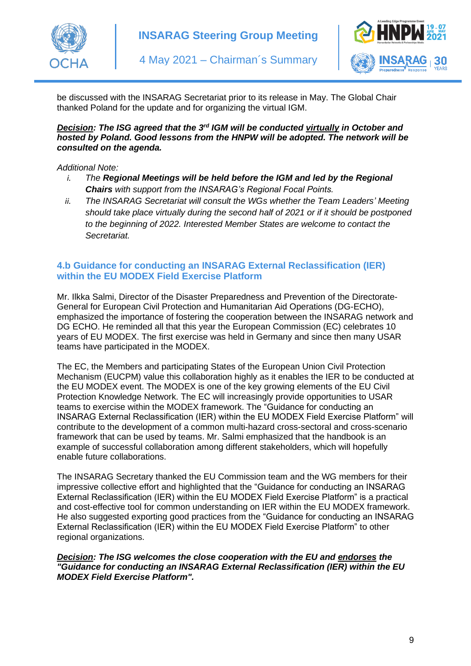



be discussed with the INSARAG Secretariat prior to its release in May. The Global Chair thanked Poland for the update and for organizing the virtual IGM.

#### *Decision: The ISG agreed that the 3rd IGM will be conducted virtually in October and hosted by Poland. Good lessons from the HNPW will be adopted. The network will be consulted on the agenda.*

#### *Additional Note:*

- *i. The Regional Meetings will be held before the IGM and led by the Regional Chairs with support from the INSARAG's Regional Focal Points.*
- *ii. The INSARAG Secretariat will consult the WGs whether the Team Leaders' Meeting should take place virtually during the second half of 2021 or if it should be postponed to the beginning of 2022. Interested Member States are welcome to contact the Secretariat.*

#### **4.b Guidance for conducting an INSARAG External Reclassification (IER) within the EU MODEX Field Exercise Platform**

Mr. Ilkka Salmi, Director of the Disaster Preparedness and Prevention of the Directorate-General for European Civil Protection and Humanitarian Aid Operations (DG-ECHO), emphasized the importance of fostering the cooperation between the INSARAG network and DG ECHO. He reminded all that this year the European Commission (EC) celebrates 10 years of EU MODEX. The first exercise was held in Germany and since then many USAR teams have participated in the MODEX.

The EC, the Members and participating States of the European Union Civil Protection Mechanism (EUCPM) value this collaboration highly as it enables the IER to be conducted at the EU MODEX event. The MODEX is one of the key growing elements of the EU Civil Protection Knowledge Network. The EC will increasingly provide opportunities to USAR teams to exercise within the MODEX framework. The "Guidance for conducting an INSARAG External Reclassification (IER) within the EU MODEX Field Exercise Platform" will contribute to the development of a common multi-hazard cross-sectoral and cross-scenario framework that can be used by teams. Mr. Salmi emphasized that the handbook is an example of successful collaboration among different stakeholders, which will hopefully enable future collaborations.

The INSARAG Secretary thanked the EU Commission team and the WG members for their impressive collective effort and highlighted that the "Guidance for conducting an INSARAG External Reclassification (IER) within the EU MODEX Field Exercise Platform" is a practical and cost-effective tool for common understanding on IER within the EU MODEX framework. He also suggested exporting good practices from the "Guidance for conducting an INSARAG External Reclassification (IER) within the EU MODEX Field Exercise Platform" to other regional organizations.

#### *Decision: The ISG welcomes the close cooperation with the EU and endorses the "Guidance for conducting an INSARAG External Reclassification (IER) within the EU MODEX Field Exercise Platform".*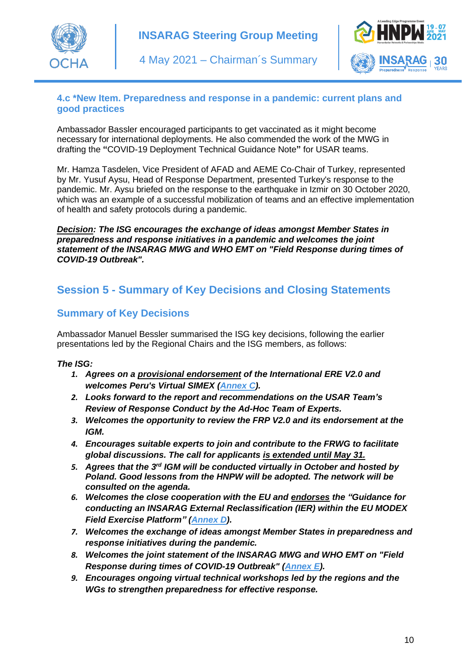



### **4.c \*New Item. Preparedness and response in a pandemic: current plans and good practices**

Ambassador Bassler encouraged participants to get vaccinated as it might become necessary for international deployments. He also commended the work of the MWG in drafting the **"**COVID-19 Deployment Technical Guidance Note**"** for USAR teams.

Mr. Hamza Tasdelen, Vice President of AFAD and AEME Co-Chair of Turkey, represented by Mr. Yusuf Aysu, Head of Response Department, presented Turkey's response to the pandemic. Mr. Aysu briefed on the response to the earthquake in Izmir on 30 October 2020, which was an example of a successful mobilization of teams and an effective implementation of health and safety protocols during a pandemic.

*Decision: The ISG encourages the exchange of ideas amongst Member States in preparedness and response initiatives in a pandemic and welcomes the joint statement of the INSARAG MWG and WHO EMT on "Field Response during times of COVID-19 Outbreak".*

# **Session 5 - Summary of Key Decisions and Closing Statements**

## **Summary of Key Decisions**

Ambassador Manuel Bessler summarised the ISG key decisions, following the earlier presentations led by the Regional Chairs and the ISG members, as follows:

#### *The ISG:*

- *1. Agrees on a provisional endorsement of the International ERE V2.0 and welcomes Peru's Virtual SIMEX [\(Annex C\)](http://portal.undac.org/pssuportal/portalrest/filesharing/download/public/G9titWRMQNFBckI).*
- *2. Looks forward to the report and recommendations on the USAR Team's Review of Response Conduct by the Ad-Hoc Team of Experts.*
- *3. Welcomes the opportunity to review the FRP V2.0 and its endorsement at the IGM.*
- *4. Encourages suitable experts to join and contribute to the FRWG to facilitate global discussions. The call for applicants is extended until May 31.*
- *5. Agrees that the 3rd IGM will be conducted virtually in October and hosted by Poland. Good lessons from the HNPW will be adopted. The network will be consulted on the agenda.*
- *6. Welcomes the close cooperation with the EU and endorses the "Guidance for conducting an INSARAG External Reclassification (IER) within the EU MODEX Field Exercise Platform" [\(Annex D\)](http://portal.undac.org/pssuportal/portalrest/filesharing/download/public/aEtayN3BGalRjAv).*
- *7. Welcomes the exchange of ideas amongst Member States in preparedness and response initiatives during the pandemic.*
- *8. Welcomes the joint statement of the INSARAG MWG and WHO EMT on "Field Response during times of COVID-19 Outbreak" [\(Annex E\)](http://portal.undac.org/pssuportal/portalrest/filesharing/download/public/8fkL4TqKQWZQF2W).*
- *9. Encourages ongoing virtual technical workshops led by the regions and the WGs to strengthen preparedness for effective response.*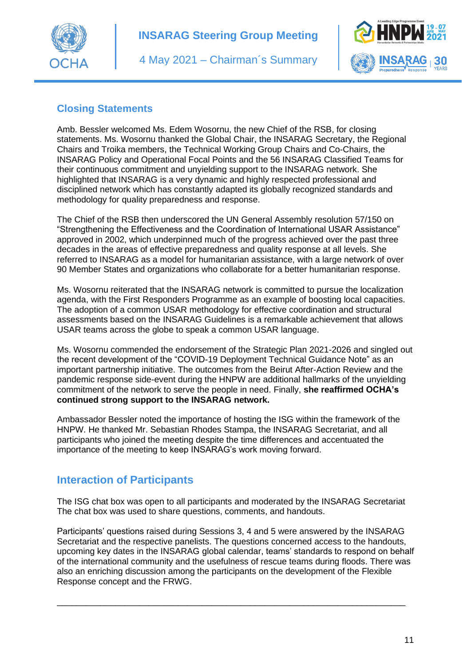



## **Closing Statements**

Amb. Bessler welcomed Ms. Edem Wosornu, the new Chief of the RSB, for closing statements. Ms. Wosornu thanked the Global Chair, the INSARAG Secretary, the Regional Chairs and Troika members, the Technical Working Group Chairs and Co-Chairs, the INSARAG Policy and Operational Focal Points and the 56 INSARAG Classified Teams for their continuous commitment and unyielding support to the INSARAG network. She highlighted that INSARAG is a very dynamic and highly respected professional and disciplined network which has constantly adapted its globally recognized standards and methodology for quality preparedness and response.

The Chief of the RSB then underscored the UN General Assembly resolution 57/150 on "Strengthening the Effectiveness and the Coordination of International USAR Assistance" approved in 2002, which underpinned much of the progress achieved over the past three decades in the areas of effective preparedness and quality response at all levels. She referred to INSARAG as a model for humanitarian assistance, with a large network of over 90 Member States and organizations who collaborate for a better humanitarian response.

Ms. Wosornu reiterated that the INSARAG network is committed to pursue the localization agenda, with the First Responders Programme as an example of boosting local capacities. The adoption of a common USAR methodology for effective coordination and structural assessments based on the INSARAG Guidelines is a remarkable achievement that allows USAR teams across the globe to speak a common USAR language.

Ms. Wosornu commended the endorsement of the Strategic Plan 2021-2026 and singled out the recent development of the "COVID-19 Deployment Technical Guidance Note" as an important partnership initiative. The outcomes from the Beirut After-Action Review and the pandemic response side-event during the HNPW are additional hallmarks of the unyielding commitment of the network to serve the people in need. Finally, **she reaffirmed OCHA's continued strong support to the INSARAG network.**

Ambassador Bessler noted the importance of hosting the ISG within the framework of the HNPW. He thanked Mr. Sebastian Rhodes Stampa, the INSARAG Secretariat, and all participants who joined the meeting despite the time differences and accentuated the importance of the meeting to keep INSARAG's work moving forward.

## **Interaction of Participants**

The ISG chat box was open to all participants and moderated by the INSARAG Secretariat The chat box was used to share questions, comments, and handouts.

Participants' questions raised during Sessions 3, 4 and 5 were answered by the INSARAG Secretariat and the respective panelists. The questions concerned access to the handouts, upcoming key dates in the INSARAG global calendar, teams' standards to respond on behalf of the international community and the usefulness of rescue teams during floods. There was also an enriching discussion among the participants on the development of the Flexible Response concept and the FRWG.

\_\_\_\_\_\_\_\_\_\_\_\_\_\_\_\_\_\_\_\_\_\_\_\_\_\_\_\_\_\_\_\_\_\_\_\_\_\_\_\_\_\_\_\_\_\_\_\_\_\_\_\_\_\_\_\_\_\_\_\_\_\_\_\_\_\_\_\_\_\_\_\_